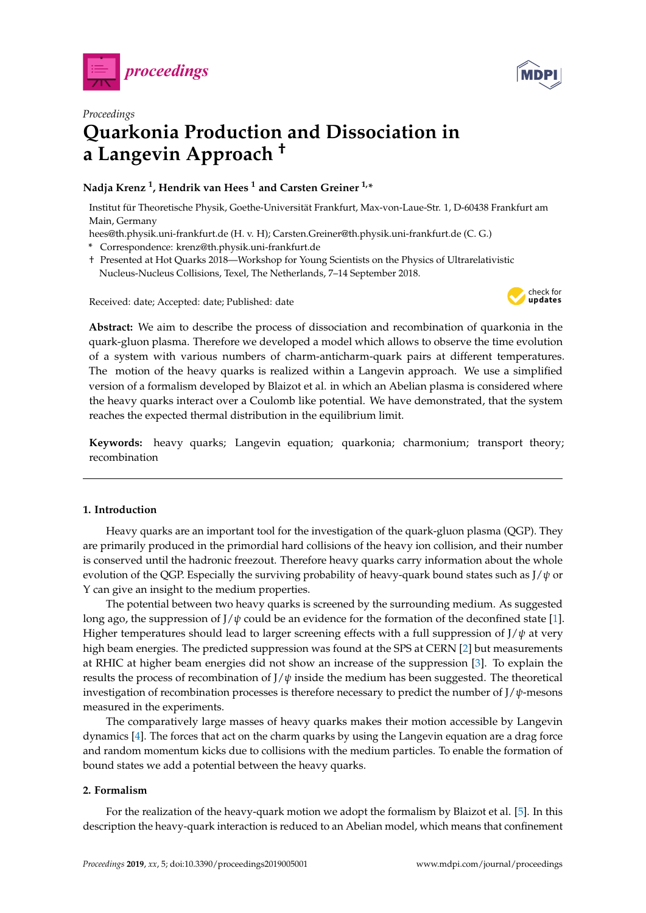



# *Proceedings* **Quarkonia Production and Dissociation in a Langevin Approach †**

# **Nadja Krenz <sup>1</sup> , Hendrik van Hees <sup>1</sup> and Carsten Greiner 1,\***

Institut für Theoretische Physik, Goethe-Universität Frankfurt, Max-von-Laue-Str. 1, D-60438 Frankfurt am Main, Germany

hees@th.physik.uni-frankfurt.de (H. v. H); Carsten.Greiner@th.physik.uni-frankfurt.de (C. G.)

- **\*** Correspondence: krenz@th.physik.uni-frankfurt.de
- † Presented at Hot Quarks 2018—Workshop for Young Scientists on the Physics of Ultrarelativistic Nucleus-Nucleus Collisions, Texel, The Netherlands, 7–14 September 2018.

Received: date; Accepted: date; Published: date



**Abstract:** We aim to describe the process of dissociation and recombination of quarkonia in the quark-gluon plasma. Therefore we developed a model which allows to observe the time evolution of a system with various numbers of charm-anticharm-quark pairs at different temperatures. The motion of the heavy quarks is realized within a Langevin approach. We use a simplified version of a formalism developed by Blaizot et al. in which an Abelian plasma is considered where the heavy quarks interact over a Coulomb like potential. We have demonstrated, that the system reaches the expected thermal distribution in the equilibrium limit.

**Keywords:** heavy quarks; Langevin equation; quarkonia; charmonium; transport theory; recombination

## **1. Introduction**

Heavy quarks are an important tool for the investigation of the quark-gluon plasma (QGP). They are primarily produced in the primordial hard collisions of the heavy ion collision, and their number is conserved until the hadronic freezout. Therefore heavy quarks carry information about the whole evolution of the QGP. Especially the surviving probability of heavy-quark bound states such as J/*ψ* or Υ can give an insight to the medium properties.

The potential between two heavy quarks is screened by the surrounding medium. As suggested long ago, the suppression of J/*ψ* could be an evidence for the formation of the deconfined state [\[1\]](#page-4-0). Higher temperatures should lead to larger screening effects with a full suppression of  $J/\psi$  at very high beam energies. The predicted suppression was found at the SPS at CERN [\[2\]](#page-4-1) but measurements at RHIC at higher beam energies did not show an increase of the suppression [\[3\]](#page-5-0). To explain the results the process of recombination of  $J/\psi$  inside the medium has been suggested. The theoretical investigation of recombination processes is therefore necessary to predict the number of J/*ψ*-mesons measured in the experiments.

The comparatively large masses of heavy quarks makes their motion accessible by Langevin dynamics [\[4\]](#page-5-1). The forces that act on the charm quarks by using the Langevin equation are a drag force and random momentum kicks due to collisions with the medium particles. To enable the formation of bound states we add a potential between the heavy quarks.

## **2. Formalism**

For the realization of the heavy-quark motion we adopt the formalism by Blaizot et al. [\[5\]](#page-5-2). In this description the heavy-quark interaction is reduced to an Abelian model, which means that confinement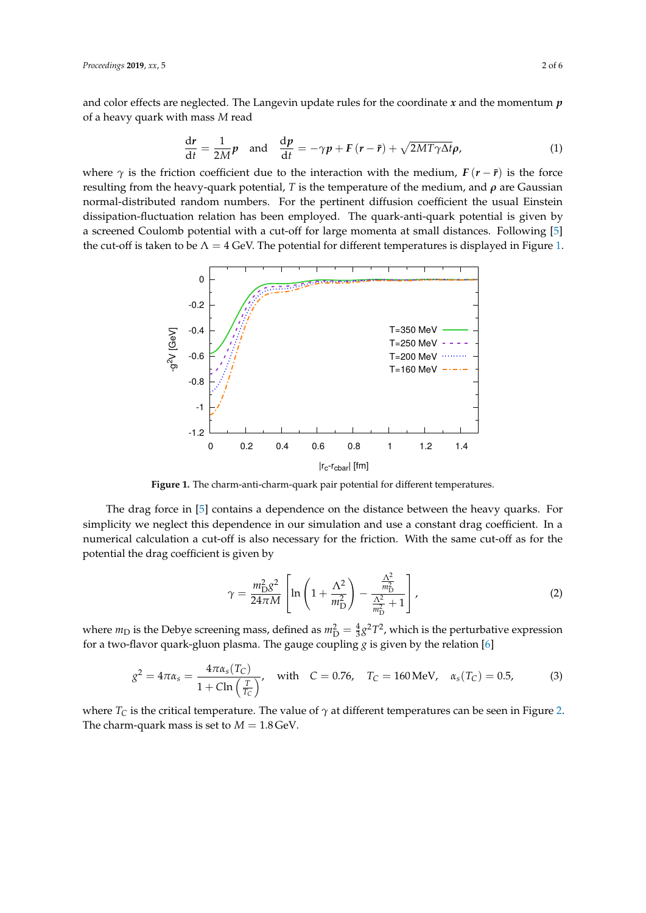and color effects are neglected. The Langevin update rules for the coordinate *x* and the momentum *p* of a heavy quark with mass *M* read

$$
\frac{dr}{dt} = \frac{1}{2M}p \text{ and } \frac{dp}{dt} = -\gamma p + F(r - \bar{r}) + \sqrt{2MT\gamma\Delta t}\rho,
$$
 (1)

where  $\gamma$  is the friction coefficient due to the interaction with the medium,  $F(r - \bar{r})$  is the force resulting from the heavy-quark potential, *T* is the temperature of the medium, and *ρ* are Gaussian normal-distributed random numbers. For the pertinent diffusion coefficient the usual Einstein dissipation-fluctuation relation has been employed. The quark-anti-quark potential is given by a screened Coulomb potential with a cut-off for large momenta at small distances. Following [\[5\]](#page-5-2) the cut-off is taken to be  $\Lambda = 4$  GeV. The potential for different temperatures is displayed in Figure [1.](#page-1-0)

<span id="page-1-0"></span>

**Figure 1.** The charm-anti-charm-quark pair potential for different temperatures.

The drag force in [\[5\]](#page-5-2) contains a dependence on the distance between the heavy quarks. For simplicity we neglect this dependence in our simulation and use a constant drag coefficient. In a numerical calculation a cut-off is also necessary for the friction. With the same cut-off as for the potential the drag coefficient is given by

$$
\gamma = \frac{m_{\rm D}^2 g^2}{24\pi M} \left[ \ln \left( 1 + \frac{\Lambda^2}{m_{\rm D}^2} \right) - \frac{\frac{\Lambda^2}{m_{\rm D}^2}}{\frac{\Lambda^2}{m_{\rm D}^2} + 1} \right],\tag{2}
$$

where  $m_D$  is the Debye screening mass, defined as  $m_D^2 = \frac{4}{3}g^2T^2$ , which is the perturbative expression for a two-flavor quark-gluon plasma. The gauge coupling *g* is given by the relation [\[6\]](#page-5-3)

$$
g^{2} = 4\pi\alpha_{s} = \frac{4\pi\alpha_{s}(T_{C})}{1 + \text{Cln}\left(\frac{T}{T_{C}}\right)}, \text{ with } C = 0.76, T_{C} = 160 \text{ MeV}, \alpha_{s}(T_{C}) = 0.5,
$$
 (3)

where  $T_C$  is the critical temperature. The value of  $\gamma$  at different temperatures can be seen in Figure [2.](#page-2-0) The charm-quark mass is set to  $M = 1.8$  GeV.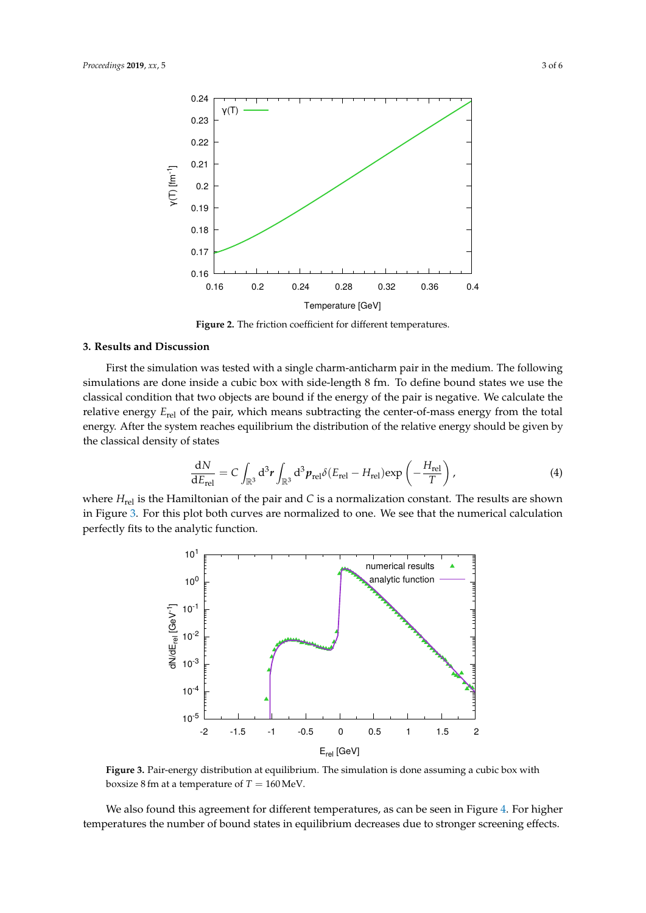<span id="page-2-0"></span>

**Figure 2.** The friction coefficient for different temperatures.

#### **3. Results and Discussion**

First the simulation was tested with a single charm-anticharm pair in the medium. The following simulations are done inside a cubic box with side-length 8 fm. To define bound states we use the classical condition that two objects are bound if the energy of the pair is negative. We calculate the relative energy *E*rel of the pair, which means subtracting the center-of-mass energy from the total energy. After the system reaches equilibrium the distribution of the relative energy should be given by the classical density of states

$$
\frac{dN}{dE_{\text{rel}}} = C \int_{\mathbb{R}^3} d^3 r \int_{\mathbb{R}^3} d^3 p_{\text{rel}} \delta(E_{\text{rel}} - H_{\text{rel}}) \exp\left(-\frac{H_{\text{rel}}}{T}\right),\tag{4}
$$

<span id="page-2-1"></span>where  $H_{rel}$  is the Hamiltonian of the pair and *C* is a normalization constant. The results are shown in Figure [3.](#page-2-1) For this plot both curves are normalized to one. We see that the numerical calculation perfectly fits to the analytic function.



**Figure 3.** Pair-energy distribution at equilibrium. The simulation is done assuming a cubic box with boxsize 8 fm at a temperature of  $T = 160$  MeV.

We also found this agreement for different temperatures, as can be seen in Figure [4.](#page-3-0) For higher temperatures the number of bound states in equilibrium decreases due to stronger screening effects.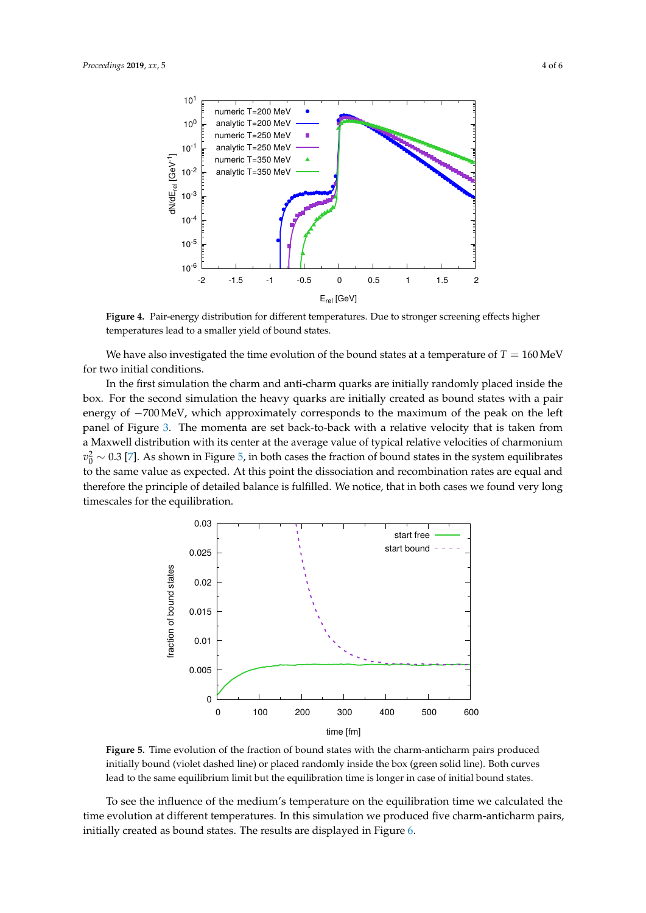<span id="page-3-0"></span>

**Figure 4.** Pair-energy distribution for different temperatures. Due to stronger screening effects higher temperatures lead to a smaller yield of bound states.

We have also investigated the time evolution of the bound states at a temperature of  $T = 160 \,\text{MeV}$ for two initial conditions.

In the first simulation the charm and anti-charm quarks are initially randomly placed inside the box. For the second simulation the heavy quarks are initially created as bound states with a pair energy of −700 MeV, which approximately corresponds to the maximum of the peak on the left panel of Figure [3.](#page-2-1) The momenta are set back-to-back with a relative velocity that is taken from a Maxwell distribution with its center at the average value of typical relative velocities of charmonium  $v_0^2 \sim 0.3$  [\[7\]](#page-5-4). As shown in Figure [5,](#page-3-1) in both cases the fraction of bound states in the system equilibrates to the same value as expected. At this point the dissociation and recombination rates are equal and therefore the principle of detailed balance is fulfilled. We notice, that in both cases we found very long timescales for the equilibration.

<span id="page-3-1"></span>

**Figure 5.** Time evolution of the fraction of bound states with the charm-anticharm pairs produced initially bound (violet dashed line) or placed randomly inside the box (green solid line). Both curves lead to the same equilibrium limit but the equilibration time is longer in case of initial bound states.

To see the influence of the medium's temperature on the equilibration time we calculated the time evolution at different temperatures. In this simulation we produced five charm-anticharm pairs, initially created as bound states. The results are displayed in Figure [6.](#page-4-2)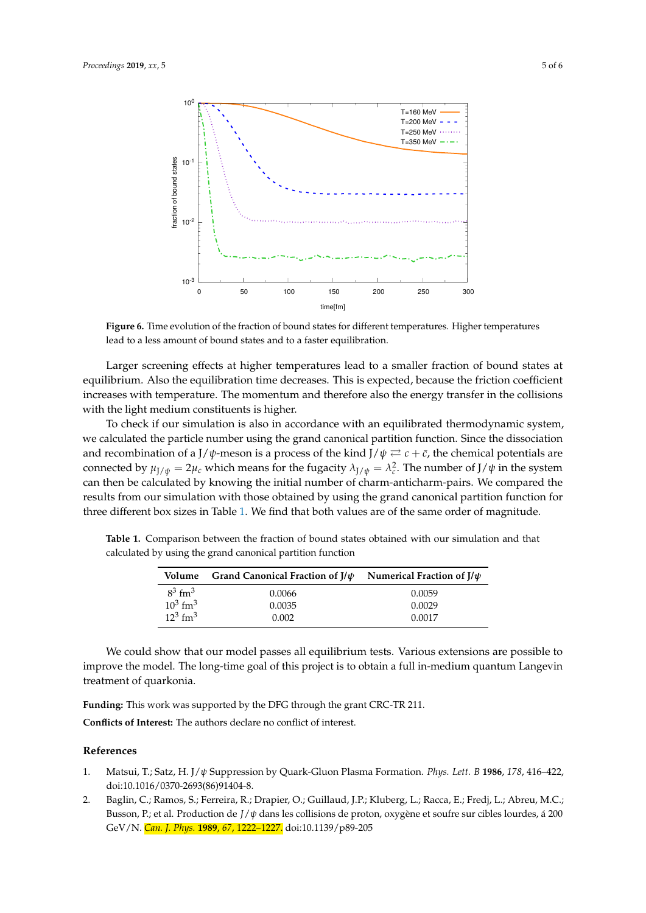<span id="page-4-2"></span>

**Figure 6.** Time evolution of the fraction of bound states for different temperatures. Higher temperatures lead to a less amount of bound states and to a faster equilibration.

Larger screening effects at higher temperatures lead to a smaller fraction of bound states at equilibrium. Also the equilibration time decreases. This is expected, because the friction coefficient increases with temperature. The momentum and therefore also the energy transfer in the collisions with the light medium constituents is higher.

To check if our simulation is also in accordance with an equilibrated thermodynamic system, we calculated the particle number using the grand canonical partition function. Since the dissociation and recombination of a J/ $\psi$ -meson is a process of the kind J/ $\psi \rightleftarrows c + \bar{c}$ , the chemical potentials are connected by  $\mu_{J/\psi} = 2\mu_c$  which means for the fugacity  $\lambda_{J/\psi} = \lambda_c^2$ . The number of  $J/\psi$  in the system can then be calculated by knowing the initial number of charm-anticharm-pairs. We compared the results from our simulation with those obtained by using the grand canonical partition function for three different box sizes in Table [1.](#page-4-3) We find that both values are of the same order of magnitude.

calculated by using the grand canonical partition function **Volume Grand Canonical Fraction of J/***ψ* **Numerical Fraction of J/***ψ* 3

<span id="page-4-3"></span>**Table 1.** Comparison between the fraction of bound states obtained with our simulation and that

|                        | Volume Grand Canonical Fraction of $J/\psi$ | Numerical Fraction of J/ $\psi$ |
|------------------------|---------------------------------------------|---------------------------------|
| $8^3$ fm <sup>3</sup>  | 0.0066                                      | 0.0059                          |
| $10^3$ fm <sup>3</sup> | 0.0035                                      | 0.0029                          |
| $12^3$ fm <sup>3</sup> | 0.002                                       | 0.0017                          |

We could show that our model passes all equilibrium tests. Various extensions are possible to improve the model. The long-time goal of this project is to obtain a full in-medium quantum Langevin treatment of quarkonia.

**Funding:** This work was supported by the DFG through the grant CRC-TR 211.

**Conflicts of Interest:** The authors declare no conflict of interest.

#### **References**

- <span id="page-4-0"></span>1. Matsui, T.; Satz, H. J/*ψ* Suppression by Quark-Gluon Plasma Formation. *Phys. Lett. B* **1986**, *178*, 416–422, doi:10.1016/0370-2693(86)91404-8.
- <span id="page-4-1"></span>2. Baglin, C.; Ramos, S.; Ferreira, R.; Drapier, O.; Guillaud, J.P.; Kluberg, L.; Racca, E.; Fredj, L.; Abreu, M.C.; Busson, P.; et al. Production de *J*/*ψ* dans les collisions de proton, oxygène et soufre sur cibles lourdes, á 200 GeV/N. *Can. J. Phys.* **1989**, *67*, 1222–1227. doi:10.1139/p89-205